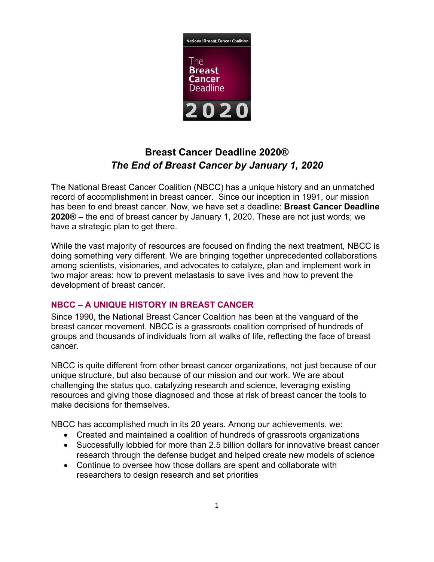

# **Breast Cancer Deadline 2020®**  *The End of Breast Cancer by January 1, 2020*

The National Breast Cancer Coalition (NBCC) has a unique history and an unmatched record of accomplishment in breast cancer. Since our inception in 1991, our mission has been to end breast cancer. Now, we have set a deadline: **Breast Cancer Deadline 2020®** – the end of breast cancer by January 1, 2020. These are not just words; we have a strategic plan to get there.

While the vast majority of resources are focused on finding the next treatment, NBCC is doing something very different. We are bringing together unprecedented collaborations among scientists, visionaries, and advocates to catalyze, plan and implement work in two major areas: how to prevent metastasis to save lives and how to prevent the development of breast cancer.

## **NBCC – A UNIQUE HISTORY IN BREAST CANCER**

Since 1990, the National Breast Cancer Coalition has been at the vanguard of the breast cancer movement. NBCC is a grassroots coalition comprised of hundreds of groups and thousands of individuals from all walks of life, reflecting the face of breast cancer.

NBCC is quite different from other breast cancer organizations, not just because of our unique structure, but also because of our mission and our work. We are about challenging the status quo, catalyzing research and science, leveraging existing resources and giving those diagnosed and those at risk of breast cancer the tools to make decisions for themselves.

NBCC has accomplished much in its 20 years. Among our achievements, we:

- Created and maintained a coalition of hundreds of grassroots organizations
- Successfully lobbied for more than 2.5 billion dollars for innovative breast cancer research through the defense budget and helped create new models of science
- Continue to oversee how those dollars are spent and collaborate with researchers to design research and set priorities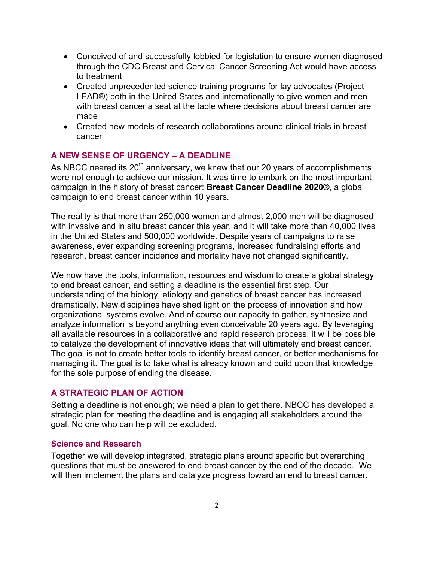- Conceived of and successfully lobbied for legislation to ensure women diagnosed through the CDC Breast and Cervical Cancer Screening Act would have access to treatment
- Created unprecedented science training programs for lay advocates (Project LEAD®) both in the United States and internationally to give women and men with breast cancer a seat at the table where decisions about breast cancer are made
- Created new models of research collaborations around clinical trials in breast cancer

### **A NEW SENSE OF URGENCY – A DEADLINE**

As NBCC neared its  $20<sup>th</sup>$  anniversary, we knew that our 20 years of accomplishments were not enough to achieve our mission. It was time to embark on the most important campaign in the history of breast cancer: **Breast Cancer Deadline 2020®**, a global campaign to end breast cancer within 10 years.

The reality is that more than 250,000 women and almost 2,000 men will be diagnosed with invasive and in situ breast cancer this year, and it will take more than 40,000 lives in the United States and 500,000 worldwide. Despite years of campaigns to raise awareness, ever expanding screening programs, increased fundraising efforts and research, breast cancer incidence and mortality have not changed significantly.

We now have the tools, information, resources and wisdom to create a global strategy to end breast cancer, and setting a deadline is the essential first step. Our understanding of the biology, etiology and genetics of breast cancer has increased dramatically. New disciplines have shed light on the process of innovation and how organizational systems evolve. And of course our capacity to gather, synthesize and analyze information is beyond anything even conceivable 20 years ago. By leveraging all available resources in a collaborative and rapid research process, it will be possible to catalyze the development of innovative ideas that will ultimately end breast cancer. The goal is not to create better tools to identify breast cancer, or better mechanisms for managing it. The goal is to take what is already known and build upon that knowledge for the sole purpose of ending the disease.

#### **A STRATEGIC PLAN OF ACTION**

Setting a deadline is not enough; we need a plan to get there. NBCC has developed a strategic plan for meeting the deadline and is engaging all stakeholders around the goal. No one who can help will be excluded.

#### **Science and Research**

Together we will develop integrated, strategic plans around specific but overarching questions that must be answered to end breast cancer by the end of the decade. We will then implement the plans and catalyze progress toward an end to breast cancer.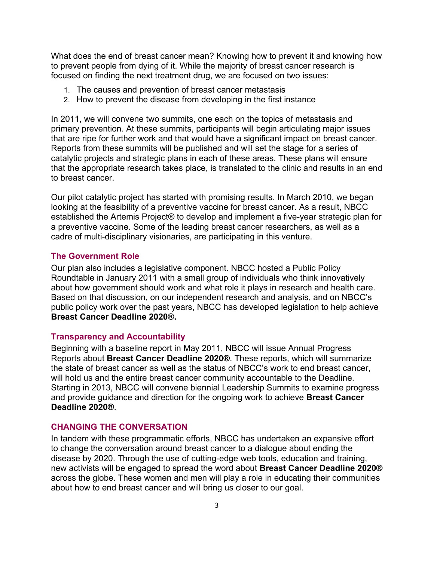What does the end of breast cancer mean? Knowing how to prevent it and knowing how to prevent people from dying of it. While the majority of breast cancer research is focused on finding the next treatment drug, we are focused on two issues:

- 1. The causes and prevention of breast cancer metastasis
- 2. How to prevent the disease from developing in the first instance

In 2011, we will convene two summits, one each on the topics of metastasis and primary prevention. At these summits, participants will begin articulating major issues that are ripe for further work and that would have a significant impact on breast cancer. Reports from these summits will be published and will set the stage for a series of catalytic projects and strategic plans in each of these areas. These plans will ensure that the appropriate research takes place, is translated to the clinic and results in an end to breast cancer.

Our pilot catalytic project has started with promising results. In March 2010, we began looking at the feasibility of a preventive vaccine for breast cancer. As a result, NBCC established the Artemis Project® to develop and implement a five-year strategic plan for a preventive vaccine. Some of the leading breast cancer researchers, as well as a cadre of multi-disciplinary visionaries, are participating in this venture.

#### **The Government Role**

Our plan also includes a legislative component. NBCC hosted a Public Policy Roundtable in January 2011 with a small group of individuals who think innovatively about how government should work and what role it plays in research and health care. Based on that discussion, on our independent research and analysis, and on NBCC's public policy work over the past years, NBCC has developed legislation to help achieve **Breast Cancer Deadline 2020®.**

#### **Transparency and Accountability**

Beginning with a baseline report in May 2011, NBCC will issue Annual Progress Reports about **Breast Cancer Deadline 2020®**. These reports, which will summarize the state of breast cancer as well as the status of NBCC's work to end breast cancer, will hold us and the entire breast cancer community accountable to the Deadline. Starting in 2013, NBCC will convene biennial Leadership Summits to examine progress and provide guidance and direction for the ongoing work to achieve **Breast Cancer Deadline 2020®**.

#### **CHANGING THE CONVERSATION**

In tandem with these programmatic efforts, NBCC has undertaken an expansive effort to change the conversation around breast cancer to a dialogue about ending the disease by 2020. Through the use of cutting-edge web tools, education and training, new activists will be engaged to spread the word about **Breast Cancer Deadline 2020®**  across the globe. These women and men will play a role in educating their communities about how to end breast cancer and will bring us closer to our goal.